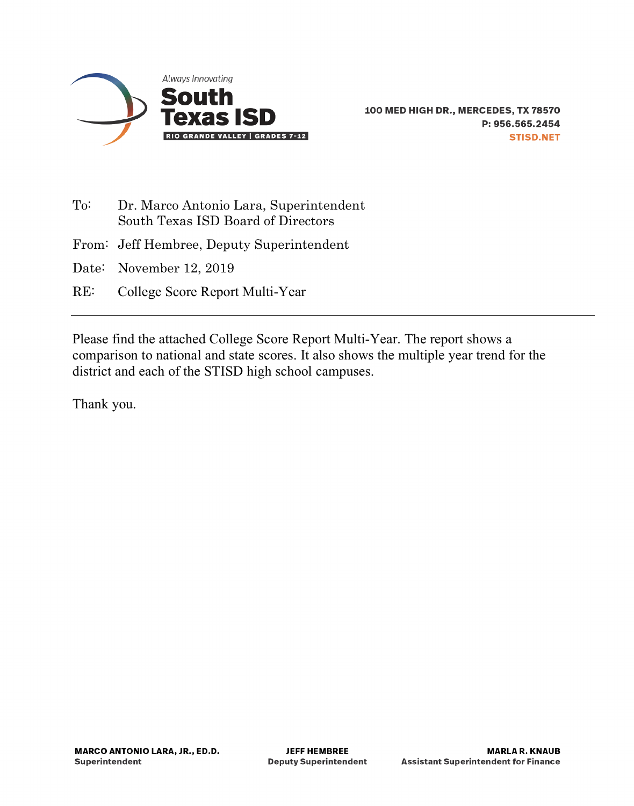

- To: Dr. Marco Antonio Lara, Superintendent South Texas ISD Board of Directors
- From: Jeff Hembree, Deputy Superintendent
- Date: November 12, 2019
- RE: College Score Report Multi-Year

Please find the attached College Score Report Multi-Year. The report shows a comparison to national and state scores. It also shows the multiple year trend for the district and each of the STISD high school campuses.

Thank you.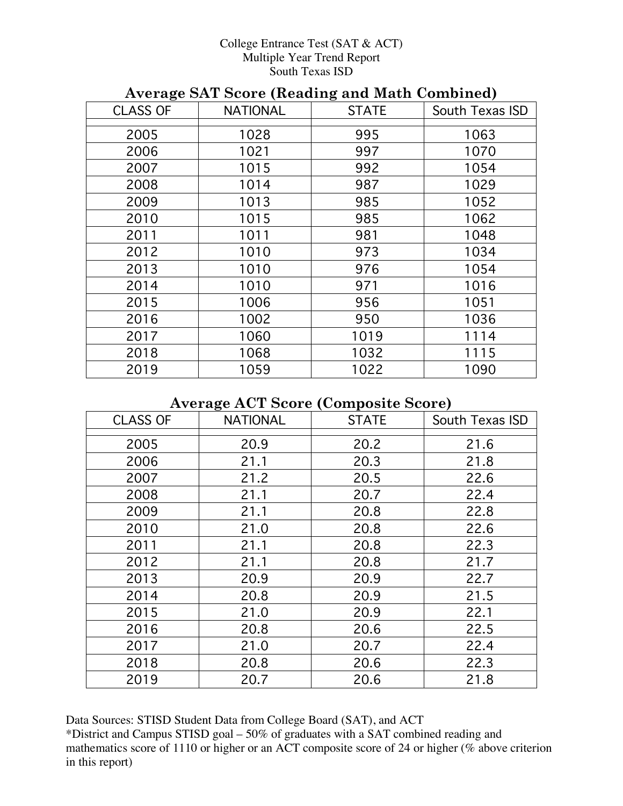#### College Entrance Test (SAT & ACT) Multiple Year Trend Report South Texas ISD

| Trends only soore (neading and math combined) |                 |              |                 |  |  |  |
|-----------------------------------------------|-----------------|--------------|-----------------|--|--|--|
| <b>CLASS OF</b>                               | <b>NATIONAL</b> | <b>STATE</b> | South Texas ISD |  |  |  |
| 2005                                          | 1028            | 995          | 1063            |  |  |  |
| 2006                                          | 1021            | 997          | 1070            |  |  |  |
| 2007                                          | 1015            | 992          | 1054            |  |  |  |
| 2008                                          | 1014            | 987          | 1029            |  |  |  |
| 2009                                          | 1013            | 985          | 1052            |  |  |  |
| 2010                                          | 1015            | 985          | 1062            |  |  |  |
| 2011                                          | 1011            | 981          | 1048            |  |  |  |
| 2012                                          | 1010            | 973          | 1034            |  |  |  |
| 2013                                          | 1010            | 976          | 1054            |  |  |  |
| 2014                                          | 1010            | 971          | 1016            |  |  |  |
| 2015                                          | 1006            | 956          | 1051            |  |  |  |
| 2016                                          | 1002            | 950          | 1036            |  |  |  |
| 2017                                          | 1060            | 1019         | 1114            |  |  |  |
| 2018                                          | 1068            | 1032         | 1115            |  |  |  |
| 2019                                          | 1059            | 1022         | 1090            |  |  |  |
|                                               |                 |              |                 |  |  |  |

# **Average SAT Score (Reading and Math Combined)**

### **Average ACT Score (Composite Score)**

| <b>CLASS OF</b> | <b>NATIONAL</b> | <b>STATE</b> | South Texas ISD |
|-----------------|-----------------|--------------|-----------------|
| 2005            | 20.9            | 20.2         | 21.6            |
| 2006            | 21.1            | 20.3         | 21.8            |
| 2007            | 21.2            | 20.5         | 22.6            |
| 2008            | 21.1            | 20.7         | 22.4            |
| 2009            | 21.1            | 20.8         | 22.8            |
| 2010            | 21.0            | 20.8         | 22.6            |
| 2011            | 21.1            | 20.8         | 22.3            |
| 2012            | 21.1            | 20.8         | 21.7            |
| 2013            | 20.9            | 20.9         | 22.7            |
| 2014            | 20.8            | 20.9         | 21.5            |
| 2015            | 21.0            | 20.9         | 22.1            |
| 2016            | 20.8            | 20.6         | 22.5            |
| 2017            | 21.0            | 20.7         | 22.4            |
| 2018            | 20.8            | 20.6         | 22.3            |
| 2019            | 20.7            | 20.6         | 21.8            |

Data Sources: STISD Student Data from College Board (SAT), and ACT \*District and Campus STISD goal – 50% of graduates with a SAT combined reading and mathematics score of 1110 or higher or an ACT composite score of 24 or higher (% above criterion in this report)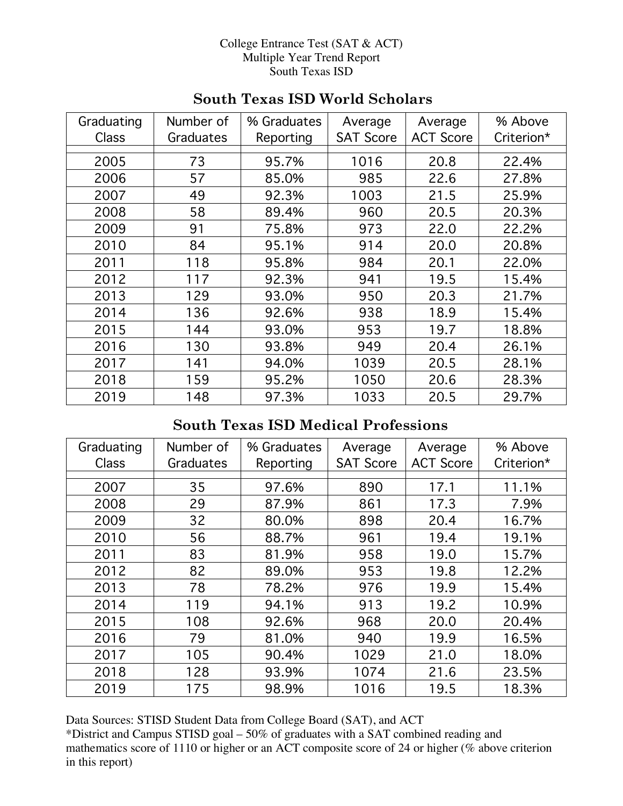#### College Entrance Test (SAT & ACT) Multiple Year Trend Report South Texas ISD

| Graduating   | Number of | % Graduates | Average          | Average          | % Above    |
|--------------|-----------|-------------|------------------|------------------|------------|
| <b>Class</b> | Graduates | Reporting   | <b>SAT Score</b> | <b>ACT Score</b> | Criterion* |
| 2005         | 73        | 95.7%       | 1016             | 20.8             | 22.4%      |
| 2006         | 57        | 85.0%       | 985              | 22.6             | 27.8%      |
| 2007         | 49        | 92.3%       | 1003             | 21.5             | 25.9%      |
| 2008         | 58        | 89.4%       | 960              | 20.5             | 20.3%      |
| 2009         | 91        | 75.8%       | 973              | 22.0             | 22.2%      |
| 2010         | 84        | 95.1%       | 914              | 20.0             | 20.8%      |
| 2011         | 118       | 95.8%       | 984              | 20.1             | 22.0%      |
| 2012         | 117       | 92.3%       | 941              | 19.5             | 15.4%      |
| 2013         | 129       | 93.0%       | 950              | 20.3             | 21.7%      |
| 2014         | 136       | 92.6%       | 938              | 18.9             | 15.4%      |
| 2015         | 144       | 93.0%       | 953              | 19.7             | 18.8%      |
| 2016         | 130       | 93.8%       | 949              | 20.4             | 26.1%      |
| 2017         | 141       | 94.0%       | 1039             | 20.5             | 28.1%      |
| 2018         | 159       | 95.2%       | 1050             | 20.6             | 28.3%      |
| 2019         | 148       | 97.3%       | 1033             | 20.5             | 29.7%      |

## **South Texas ISD World Scholars**

# **South Texas ISD Medical Professions**

| Graduating   | Number of | % Graduates | Average          | Average          | % Above    |
|--------------|-----------|-------------|------------------|------------------|------------|
| <b>Class</b> | Graduates | Reporting   | <b>SAT Score</b> | <b>ACT Score</b> | Criterion* |
|              |           |             |                  |                  |            |
| 2007         | 35        | 97.6%       | 890              | 17.1             | 11.1%      |
| 2008         | 29        | 87.9%       | 861              | 17.3             | 7.9%       |
| 2009         | 32        | 80.0%       | 898              | 20.4             | 16.7%      |
| 2010         | 56        | 88.7%       | 961              | 19.4             | 19.1%      |
| 2011         | 83        | 81.9%       | 958              | 19.0             | 15.7%      |
| 2012         | 82        | 89.0%       | 953              | 19.8             | 12.2%      |
| 2013         | 78        | 78.2%       | 976              | 19.9             | 15.4%      |
| 2014         | 119       | 94.1%       | 913              | 19.2             | 10.9%      |
| 2015         | 108       | 92.6%       | 968              | 20.0             | 20.4%      |
| 2016         | 79        | 81.0%       | 940              | 19.9             | 16.5%      |
| 2017         | 105       | 90.4%       | 1029             | 21.0             | 18.0%      |
| 2018         | 128       | 93.9%       | 1074             | 21.6             | 23.5%      |
| 2019         | 175       | 98.9%       | 1016             | 19.5             | 18.3%      |

Data Sources: STISD Student Data from College Board (SAT), and ACT

\*District and Campus STISD goal – 50% of graduates with a SAT combined reading and mathematics score of 1110 or higher or an ACT composite score of 24 or higher (% above criterion in this report)